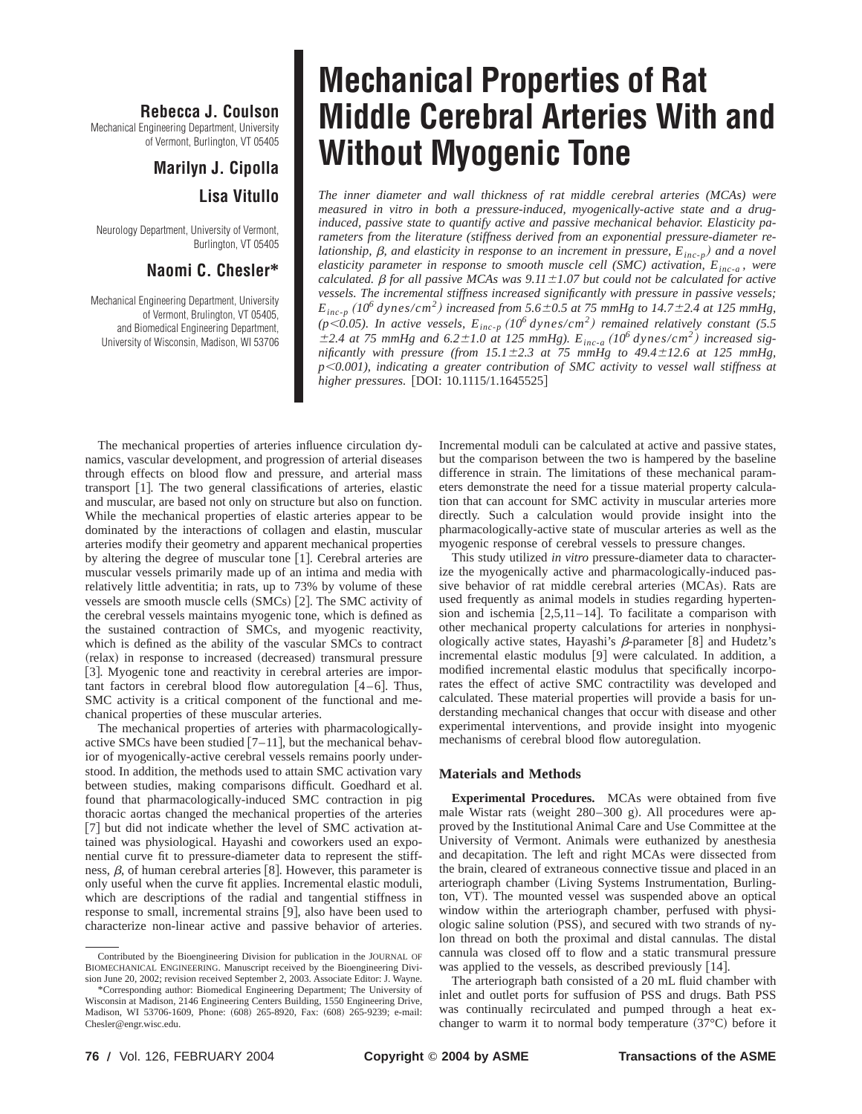## **Rebecca J. Coulson**

Mechanical Engineering Department, University of Vermont, Burlington, VT 05405

# **Marilyn J. Cipolla Lisa Vitullo**

Neurology Department, University of Vermont, Burlington, VT 05405

### **Naomi C. Chesler\***

Mechanical Engineering Department, University of Vermont, Brulington, VT 05405, and Biomedical Engineering Department, University of Wisconsin, Madison, WI 53706

# **Mechanical Properties of Rat Middle Cerebral Arteries With and Without Myogenic Tone**

*The inner diameter and wall thickness of rat middle cerebral arteries (MCAs) were measured in vitro in both a pressure-induced, myogenically-active state and a druginduced, passive state to quantify active and passive mechanical behavior. Elasticity parameters from the literature (stiffness derived from an exponential pressure-diameter relationship,*  $\beta$ , and elasticity in response to an increment in pressure,  $E_{inc-p}$  and a novel *elasticity parameter in response to smooth muscle cell (SMC) activation, Einc-a , were calculated.*  $\beta$  *for all passive MCAs was 9.11*±1.07 but could not be calculated for active *vessels. The incremental stiffness increased significantly with pressure in passive vessels;*  $E_{inc-p}$  (10<sup>6</sup> dynes/cm<sup>2</sup>) increased from 5.6 $\pm$ 0.5 at 75 mmHg to 14.7 $\pm$ 2.4 at 125 mmHg,  $(p<0.05)$ . In active vessels,  $E_{inc-p}$   $(10^6 \text{ dynes/cm}^2)$  remained relatively constant (5.5)  $\pm$ 2.4 at 75 mmHg and 6.2 $\pm$ 1.0 at 125 mmHg).  $E_{inc-a}$  (10<sup>6</sup> dynes/cm<sup>2</sup>) increased sig*nificantly with pressure (from*  $15.1 \pm 2.3$  *at 75 mmHg to*  $49.4 \pm 12.6$  *at 125 mmHg, p*,*0.001), indicating a greater contribution of SMC activity to vessel wall stiffness at higher pressures.* [DOI: 10.1115/1.1645525]

The mechanical properties of arteries influence circulation dynamics, vascular development, and progression of arterial diseases through effects on blood flow and pressure, and arterial mass transport  $[1]$ . The two general classifications of arteries, elastic and muscular, are based not only on structure but also on function. While the mechanical properties of elastic arteries appear to be dominated by the interactions of collagen and elastin, muscular arteries modify their geometry and apparent mechanical properties by altering the degree of muscular tone  $[1]$ . Cerebral arteries are muscular vessels primarily made up of an intima and media with relatively little adventitia; in rats, up to 73% by volume of these vessels are smooth muscle cells  $(SMCs)$   $[2]$ . The SMC activity of the cerebral vessels maintains myogenic tone, which is defined as the sustained contraction of SMCs, and myogenic reactivity, which is defined as the ability of the vascular SMCs to contract (relax) in response to increased (decreased) transmural pressure [3]. Myogenic tone and reactivity in cerebral arteries are important factors in cerebral blood flow autoregulation  $[4-6]$ . Thus, SMC activity is a critical component of the functional and mechanical properties of these muscular arteries.

The mechanical properties of arteries with pharmacologicallyactive SMCs have been studied  $[7-11]$ , but the mechanical behavior of myogenically-active cerebral vessels remains poorly understood. In addition, the methods used to attain SMC activation vary between studies, making comparisons difficult. Goedhard et al. found that pharmacologically-induced SMC contraction in pig thoracic aortas changed the mechanical properties of the arteries [7] but did not indicate whether the level of SMC activation attained was physiological. Hayashi and coworkers used an exponential curve fit to pressure-diameter data to represent the stiffness,  $\beta$ , of human cerebral arteries [8]. However, this parameter is only useful when the curve fit applies. Incremental elastic moduli, which are descriptions of the radial and tangential stiffness in response to small, incremental strains [9], also have been used to characterize non-linear active and passive behavior of arteries.

Incremental moduli can be calculated at active and passive states, but the comparison between the two is hampered by the baseline difference in strain. The limitations of these mechanical parameters demonstrate the need for a tissue material property calculation that can account for SMC activity in muscular arteries more directly. Such a calculation would provide insight into the pharmacologically-active state of muscular arteries as well as the myogenic response of cerebral vessels to pressure changes.

This study utilized *in vitro* pressure-diameter data to characterize the myogenically active and pharmacologically-induced passive behavior of rat middle cerebral arteries (MCAs). Rats are used frequently as animal models in studies regarding hypertension and ischemia  $[2,5,11-14]$ . To facilitate a comparison with other mechanical property calculations for arteries in nonphysiologically active states, Hayashi's  $\beta$ -parameter [8] and Hudetz's incremental elastic modulus  $[9]$  were calculated. In addition, a modified incremental elastic modulus that specifically incorporates the effect of active SMC contractility was developed and calculated. These material properties will provide a basis for understanding mechanical changes that occur with disease and other experimental interventions, and provide insight into myogenic mechanisms of cerebral blood flow autoregulation.

#### **Materials and Methods**

**Experimental Procedures.** MCAs were obtained from five male Wistar rats (weight  $280-300$  g). All procedures were approved by the Institutional Animal Care and Use Committee at the University of Vermont. Animals were euthanized by anesthesia and decapitation. The left and right MCAs were dissected from the brain, cleared of extraneous connective tissue and placed in an arteriograph chamber (Living Systems Instrumentation, Burlington, VT). The mounted vessel was suspended above an optical window within the arteriograph chamber, perfused with physiologic saline solution (PSS), and secured with two strands of nylon thread on both the proximal and distal cannulas. The distal cannula was closed off to flow and a static transmural pressure was applied to the vessels, as described previously  $[14]$ .

The arteriograph bath consisted of a 20 mL fluid chamber with inlet and outlet ports for suffusion of PSS and drugs. Bath PSS was continually recirculated and pumped through a heat exchanger to warm it to normal body temperature  $(37^{\circ}C)$  before it

Contributed by the Bioengineering Division for publication in the JOURNAL OF BIOMECHANICAL ENGINEERING. Manuscript received by the Bioengineering Division June 20, 2002; revision received September 2, 2003. Associate Editor: J. Wayne.

<sup>\*</sup>Corresponding author: Biomedical Engineering Department; The University of Wisconsin at Madison, 2146 Engineering Centers Building, 1550 Engineering Drive, Madison, WI 53706-1609, Phone: (608) 265-8920, Fax: (608) 265-9239; e-mail: Chesler@engr.wisc.edu.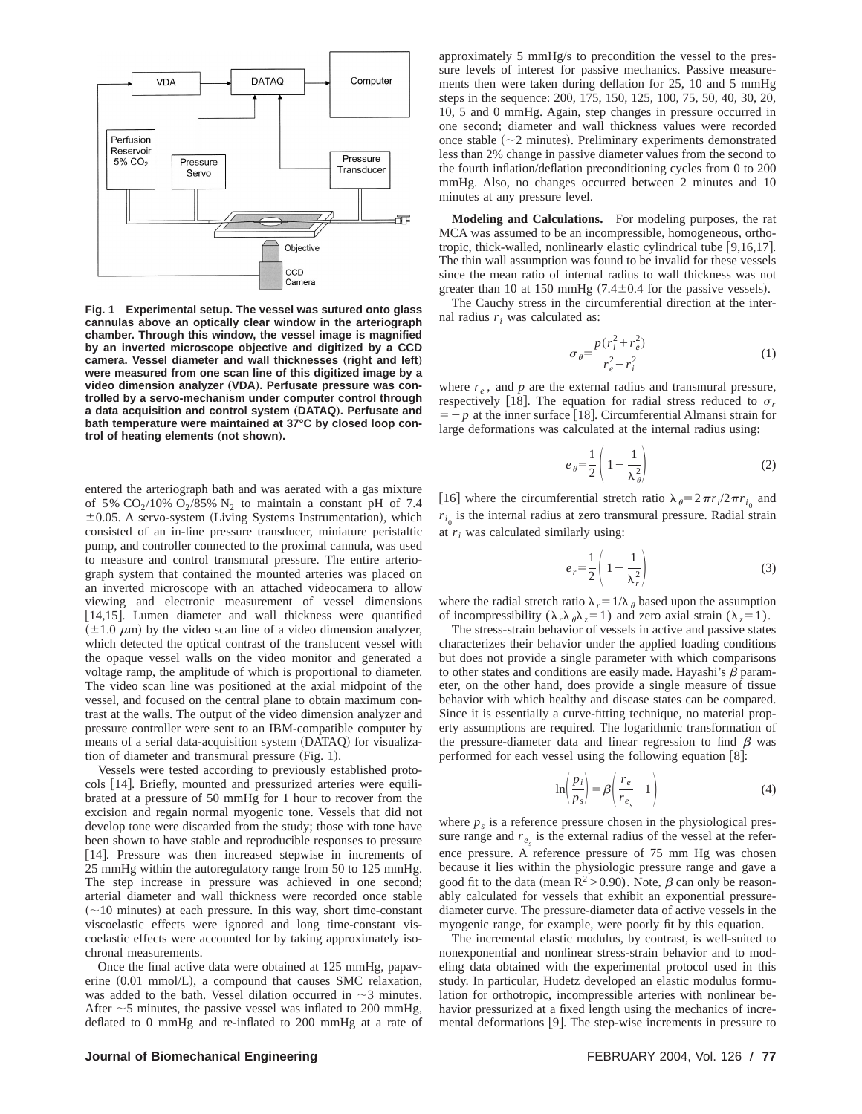

**Fig. 1 Experimental setup. The vessel was sutured onto glass cannulas above an optically clear window in the arteriograph chamber. Through this window, the vessel image is magnified by an inverted microscope objective and digitized by a CCD** camera. Vessel diameter and wall thicknesses (right and left) **were measured from one scan line of this digitized image by a** video dimension analyzer (VDA). Perfusate pressure was con**trolled by a servo-mechanism under computer control through a data acquisition and control system** "**DATAQ**…**. Perfusate and bath temperature were maintained at 37°C by closed loop control of heating elements (not shown).** 

entered the arteriograph bath and was aerated with a gas mixture of 5%  $CO<sub>2</sub>/10% O<sub>2</sub>/85% N<sub>2</sub>$  to maintain a constant pH of 7.4  $\pm 0.05$ . A servo-system (Living Systems Instrumentation), which consisted of an in-line pressure transducer, miniature peristaltic pump, and controller connected to the proximal cannula, was used to measure and control transmural pressure. The entire arteriograph system that contained the mounted arteries was placed on an inverted microscope with an attached videocamera to allow viewing and electronic measurement of vessel dimensions [14,15]. Lumen diameter and wall thickness were quantified  $(\pm 1.0 \mu m)$  by the video scan line of a video dimension analyzer, which detected the optical contrast of the translucent vessel with the opaque vessel walls on the video monitor and generated a voltage ramp, the amplitude of which is proportional to diameter. The video scan line was positioned at the axial midpoint of the vessel, and focused on the central plane to obtain maximum contrast at the walls. The output of the video dimension analyzer and pressure controller were sent to an IBM-compatible computer by means of a serial data-acquisition system (DATAQ) for visualization of diameter and transmural pressure  $(Fig. 1)$ .

Vessels were tested according to previously established protocols [14]. Briefly, mounted and pressurized arteries were equilibrated at a pressure of 50 mmHg for 1 hour to recover from the excision and regain normal myogenic tone. Vessels that did not develop tone were discarded from the study; those with tone have been shown to have stable and reproducible responses to pressure [14]. Pressure was then increased stepwise in increments of 25 mmHg within the autoregulatory range from 50 to 125 mmHg. The step increase in pressure was achieved in one second; arterial diameter and wall thickness were recorded once stable  $(\sim 10$  minutes) at each pressure. In this way, short time-constant viscoelastic effects were ignored and long time-constant viscoelastic effects were accounted for by taking approximately isochronal measurements.

Once the final active data were obtained at 125 mmHg, papaverine  $(0.01 \text{ mmol/L})$ , a compound that causes SMC relaxation, was added to the bath. Vessel dilation occurred in  $\sim$ 3 minutes. After  $\sim$  5 minutes, the passive vessel was inflated to 200 mmHg, deflated to 0 mmHg and re-inflated to 200 mmHg at a rate of approximately 5 mmHg/s to precondition the vessel to the pressure levels of interest for passive mechanics. Passive measurements then were taken during deflation for 25, 10 and 5 mmHg steps in the sequence: 200, 175, 150, 125, 100, 75, 50, 40, 30, 20, 10, 5 and 0 mmHg. Again, step changes in pressure occurred in one second; diameter and wall thickness values were recorded once stable  $(\sim 2$  minutes). Preliminary experiments demonstrated less than 2% change in passive diameter values from the second to the fourth inflation/deflation preconditioning cycles from 0 to 200 mmHg. Also, no changes occurred between 2 minutes and 10 minutes at any pressure level.

**Modeling and Calculations.** For modeling purposes, the rat MCA was assumed to be an incompressible, homogeneous, orthotropic, thick-walled, nonlinearly elastic cylindrical tube  $[9,16,17]$ . The thin wall assumption was found to be invalid for these vessels since the mean ratio of internal radius to wall thickness was not greater than 10 at 150 mmHg  $(7.4\pm0.4$  for the passive vessels).

The Cauchy stress in the circumferential direction at the internal radius  $r_i$  was calculated as:

$$
\sigma_{\theta} = \frac{p(r_i^2 + r_e^2)}{r_e^2 - r_i^2} \tag{1}
$$

where  $r_e$ , and  $p$  are the external radius and transmural pressure, respectively [18]. The equation for radial stress reduced to  $\sigma_r$  $=$  - p at the inner surface [18]. Circumferential Almansi strain for large deformations was calculated at the internal radius using:

$$
e_{\theta} = \frac{1}{2} \left( 1 - \frac{1}{\lambda_{\theta}^2} \right) \tag{2}
$$

[16] where the circumferential stretch ratio  $\lambda_{\theta} = 2\pi r_i/2\pi r_{i_0}$  and  $r_{i_0}$  is the internal radius at zero transmural pressure. Radial strain at  $r_i$  was calculated similarly using:

$$
e_r = \frac{1}{2} \left( 1 - \frac{1}{\lambda_r^2} \right) \tag{3}
$$

where the radial stretch ratio  $\lambda_r=1/\lambda_\theta$  based upon the assumption of incompressibility ( $\lambda_r \lambda_\theta \lambda_z = 1$ ) and zero axial strain ( $\lambda_z = 1$ ).

The stress-strain behavior of vessels in active and passive states characterizes their behavior under the applied loading conditions but does not provide a single parameter with which comparisons to other states and conditions are easily made. Hayashi's  $\beta$  parameter, on the other hand, does provide a single measure of tissue behavior with which healthy and disease states can be compared. Since it is essentially a curve-fitting technique, no material property assumptions are required. The logarithmic transformation of the pressure-diameter data and linear regression to find  $\beta$  was performed for each vessel using the following equation  $[8]$ :

$$
\ln\left(\frac{p_i}{p_s}\right) = \beta\left(\frac{r_e}{r_{e_s}} - 1\right) \tag{4}
$$

where  $p<sub>s</sub>$  is a reference pressure chosen in the physiological pressure range and  $r_e$  is the external radius of the vessel at the reference pressure. A reference pressure of 75 mm Hg was chosen because it lies within the physiologic pressure range and gave a good fit to the data (mean  $R^2 > 0.90$ ). Note,  $\beta$  can only be reasonably calculated for vessels that exhibit an exponential pressurediameter curve. The pressure-diameter data of active vessels in the myogenic range, for example, were poorly fit by this equation.

The incremental elastic modulus, by contrast, is well-suited to nonexponential and nonlinear stress-strain behavior and to modeling data obtained with the experimental protocol used in this study. In particular, Hudetz developed an elastic modulus formulation for orthotropic, incompressible arteries with nonlinear behavior pressurized at a fixed length using the mechanics of incremental deformations  $[9]$ . The step-wise increments in pressure to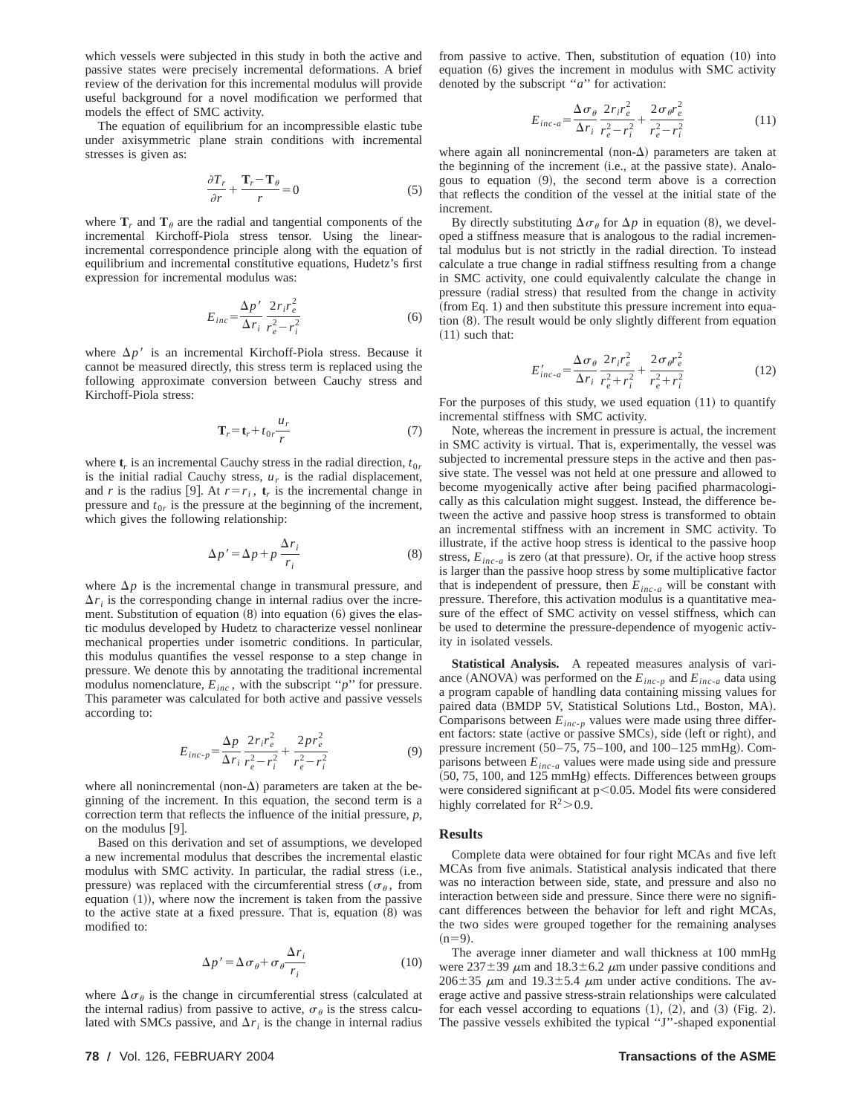which vessels were subjected in this study in both the active and passive states were precisely incremental deformations. A brief review of the derivation for this incremental modulus will provide useful background for a novel modification we performed that models the effect of SMC activity.

The equation of equilibrium for an incompressible elastic tube under axisymmetric plane strain conditions with incremental stresses is given as:

$$
\frac{\partial T_r}{\partial r} + \frac{\mathbf{T}_r - \mathbf{T}_\theta}{r} = 0\tag{5}
$$

where  $\mathbf{T}_r$  and  $\mathbf{T}_\theta$  are the radial and tangential components of the incremental Kirchoff-Piola stress tensor. Using the linearincremental correspondence principle along with the equation of equilibrium and incremental constitutive equations, Hudetz's first expression for incremental modulus was:

$$
E_{inc} = \frac{\Delta p'}{\Delta r_i} \frac{2r_i r_e^2}{r_e^2 - r_i^2}
$$
 (6)

where  $\Delta p'$  is an incremental Kirchoff-Piola stress. Because it cannot be measured directly, this stress term is replaced using the following approximate conversion between Cauchy stress and Kirchoff-Piola stress:

$$
\mathbf{T}_r = \mathbf{t}_r + t_{0r} \frac{u_r}{r}
$$
 (7)

where  $t_r$  is an incremental Cauchy stress in the radial direction,  $t_{0r}$ is the initial radial Cauchy stress,  $u_r$  is the radial displacement, and *r* is the radius [9]. At  $r = r_i$ ,  $t_r$  is the incremental change in pressure and  $t_{0r}$  is the pressure at the beginning of the increment, which gives the following relationship:

$$
\Delta p' = \Delta p + p \frac{\Delta r_i}{r_i} \tag{8}
$$

where  $\Delta p$  is the incremental change in transmural pressure, and  $\Delta r_i$  is the corresponding change in internal radius over the increment. Substitution of equation  $(8)$  into equation  $(6)$  gives the elastic modulus developed by Hudetz to characterize vessel nonlinear mechanical properties under isometric conditions. In particular, this modulus quantifies the vessel response to a step change in pressure. We denote this by annotating the traditional incremental modulus nomenclature,  $E_{inc}$ , with the subscript " $p$ " for pressure. This parameter was calculated for both active and passive vessels according to:

$$
E_{inc-p} = \frac{\Delta p}{\Delta r_i} \frac{2r_i r_e^2}{r_e^2 - r_i^2} + \frac{2p r_e^2}{r_e^2 - r_i^2}
$$
(9)

where all nonincremental (non- $\Delta$ ) parameters are taken at the beginning of the increment. In this equation, the second term is a correction term that reflects the influence of the initial pressure, *p*, on the modulus  $[9]$ .

Based on this derivation and set of assumptions, we developed a new incremental modulus that describes the incremental elastic modulus with SMC activity. In particular, the radial stress (i.e., pressure) was replaced with the circumferential stress ( $\sigma_{\theta}$ , from equation  $(1)$ ), where now the increment is taken from the passive to the active state at a fixed pressure. That is, equation  $(8)$  was modified to:

$$
\Delta p' = \Delta \sigma_{\theta} + \sigma_{\theta} \frac{\Delta r_i}{r_i}
$$
 (10)

where  $\Delta \sigma_{\theta}$  is the change in circumferential stress (calculated at the internal radius) from passive to active,  $\sigma_{\theta}$  is the stress calculated with SMCs passive, and  $\Delta r_i$  is the change in internal radius from passive to active. Then, substitution of equation  $(10)$  into equation  $(6)$  gives the increment in modulus with SMC activity denoted by the subscript ''*a*'' for activation:

$$
E_{inc-a} = \frac{\Delta \sigma_{\theta}}{\Delta r_i} \frac{2r_i r_e^2}{r_e^2 - r_i^2} + \frac{2\sigma_{\theta} r_e^2}{r_e^2 - r_i^2}
$$
(11)

where again all nonincremental (non- $\Delta$ ) parameters are taken at the beginning of the increment  $(i.e., at the passive state)$ . Analogous to equation  $(9)$ , the second term above is a correction that reflects the condition of the vessel at the initial state of the increment.

By directly substituting  $\Delta \sigma_{\theta}$  for  $\Delta p$  in equation (8), we developed a stiffness measure that is analogous to the radial incremental modulus but is not strictly in the radial direction. To instead calculate a true change in radial stiffness resulting from a change in SMC activity, one could equivalently calculate the change in pressure (radial stress) that resulted from the change in activity  $({\text{from Eq. 1}})$  and then substitute this pressure increment into equation  $(8)$ . The result would be only slightly different from equation  $(11)$  such that:

$$
E'_{inc-a} = \frac{\Delta \sigma_{\theta}}{\Delta r_i} \frac{2r_i r_e^2}{r_e^2 + r_i^2} + \frac{2\sigma_{\theta} r_e^2}{r_e^2 + r_i^2}
$$
 (12)

For the purposes of this study, we used equation  $(11)$  to quantify incremental stiffness with SMC activity.

Note, whereas the increment in pressure is actual, the increment in SMC activity is virtual. That is, experimentally, the vessel was subjected to incremental pressure steps in the active and then passive state. The vessel was not held at one pressure and allowed to become myogenically active after being pacified pharmacologically as this calculation might suggest. Instead, the difference between the active and passive hoop stress is transformed to obtain an incremental stiffness with an increment in SMC activity. To illustrate, if the active hoop stress is identical to the passive hoop stress,  $E_{inc-a}$  is zero (at that pressure). Or, if the active hoop stress is larger than the passive hoop stress by some multiplicative factor that is independent of pressure, then  $E_{inc-a}$  will be constant with pressure. Therefore, this activation modulus is a quantitative measure of the effect of SMC activity on vessel stiffness, which can be used to determine the pressure-dependence of myogenic activity in isolated vessels.

**Statistical Analysis.** A repeated measures analysis of variance (ANOVA) was performed on the  $E_{inc-p}$  and  $E_{inc-a}$  data using a program capable of handling data containing missing values for paired data (BMDP 5V, Statistical Solutions Ltd., Boston, MA). Comparisons between  $E_{inc-p}$  values were made using three different factors: state (active or passive SMCs), side (left or right), and pressure increment  $(50-75, 75-100,$  and  $100-125$  mmHg). Comparisons between  $E_{inc-a}$  values were made using side and pressure  $(50, 75, 100,$  and  $125$  mmHg) effects. Differences between groups were considered significant at  $p$ <0.05. Model fits were considered highly correlated for  $R^2$  > 0.9.

#### **Results**

Complete data were obtained for four right MCAs and five left MCAs from five animals. Statistical analysis indicated that there was no interaction between side, state, and pressure and also no interaction between side and pressure. Since there were no significant differences between the behavior for left and right MCAs, the two sides were grouped together for the remaining analyses  $(n=9)$ .

The average inner diameter and wall thickness at 100 mmHg were 237 $\pm$ 39  $\mu$ m and 18.3 $\pm$ 6.2  $\mu$ m under passive conditions and  $206\pm35$   $\mu$ m and 19.3 $\pm$ 5.4  $\mu$ m under active conditions. The average active and passive stress-strain relationships were calculated for each vessel according to equations  $(1)$ ,  $(2)$ , and  $(3)$  (Fig. 2). The passive vessels exhibited the typical ''J''-shaped exponential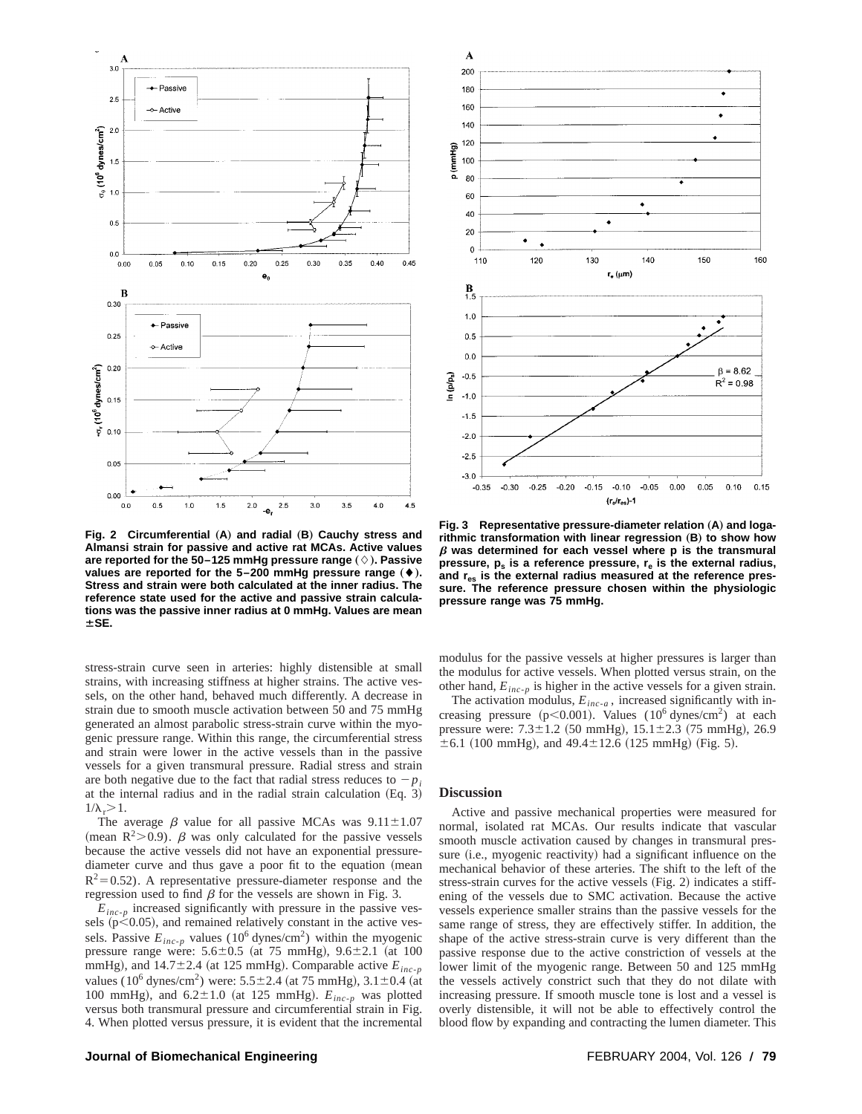

**Fig. 2 Circumferential (A) and radial (B) Cauchy stress and Almansi strain for passive and active rat MCAs. Active values** are reported for the 50–125 mmHg pressure range  $(\Diamond)$ . Passive values are reported for the 5-200 mmHg pressure range ( $\blacklozenge$ ). **Stress and strain were both calculated at the inner radius. The reference state used for the active and passive strain calculations was the passive inner radius at 0 mmHg. Values are mean**  $±$ **SE.** 

stress-strain curve seen in arteries: highly distensible at small strains, with increasing stiffness at higher strains. The active vessels, on the other hand, behaved much differently. A decrease in strain due to smooth muscle activation between 50 and 75 mmHg generated an almost parabolic stress-strain curve within the myogenic pressure range. Within this range, the circumferential stress and strain were lower in the active vessels than in the passive vessels for a given transmural pressure. Radial stress and strain are both negative due to the fact that radial stress reduces to  $-p_i$ at the internal radius and in the radial strain calculation  $(Eq. 3)$  $1/\lambda$ <sub>r</sub> $>1$ .

The average  $\beta$  value for all passive MCAs was  $9.11 \pm 1.07$ (mean R<sup>2</sup>>0.9).  $\beta$  was only calculated for the passive vessels because the active vessels did not have an exponential pressurediameter curve and thus gave a poor fit to the equation (mean  $R^2$ =0.52). A representative pressure-diameter response and the regression used to find  $\beta$  for the vessels are shown in Fig. 3.

 $E_{inc-p}$  increased significantly with pressure in the passive vessels ( $p$ <0.05), and remained relatively constant in the active vessels. Passive  $E_{inc-p}$  values (10<sup>6</sup> dynes/cm<sup>2</sup>) within the myogenic pressure range were:  $5.6 \pm 0.5$  (at 75 mmHg),  $9.6 \pm 2.1$  (at 100 mmHg), and  $14.7\pm2.4$  (at 125 mmHg). Comparable active  $E_{inc-p}$ values (10<sup>6</sup> dynes/cm<sup>2</sup>) were: 5.5 $\pm$ 2.4 (at 75 mmHg), 3.1 $\pm$ 0.4 (at 100 mmHg), and  $6.2 \pm 1.0$  (at 125 mmHg).  $E_{inc-p}$  was plotted versus both transmural pressure and circumferential strain in Fig. 4. When plotted versus pressure, it is evident that the incremental



Fig. 3 Representative pressure-diameter relation (A) and logarithmic transformation with linear regression (B) to show how  $\beta$  was determined for each vessel where p is the transmural pressure,  $p_s$  is a reference pressure,  $r_e$  is the external radius, **and res is the external radius measured at the reference pressure. The reference pressure chosen within the physiologic pressure range was 75 mmHg.**

modulus for the passive vessels at higher pressures is larger than the modulus for active vessels. When plotted versus strain, on the other hand,  $E_{inc-p}$  is higher in the active vessels for a given strain.

The activation modulus,  $E_{inc-a}$ , increased significantly with increasing pressure ( $p<0.001$ ). Values ( $10^6$  dynes/cm<sup>2</sup>) at each pressure were:  $7.3 \pm 1.2$  (50 mmHg),  $15.1 \pm 2.3$  (75 mmHg), 26.9  $\pm 6.1$  (100 mmHg), and 49.4 $\pm$ 12.6 (125 mmHg) (Fig. 5).

#### **Discussion**

Active and passive mechanical properties were measured for normal, isolated rat MCAs. Our results indicate that vascular smooth muscle activation caused by changes in transmural pressure (i.e., myogenic reactivity) had a significant influence on the mechanical behavior of these arteries. The shift to the left of the stress-strain curves for the active vessels  $(Fig. 2)$  indicates a stiffening of the vessels due to SMC activation. Because the active vessels experience smaller strains than the passive vessels for the same range of stress, they are effectively stiffer. In addition, the shape of the active stress-strain curve is very different than the passive response due to the active constriction of vessels at the lower limit of the myogenic range. Between 50 and 125 mmHg the vessels actively constrict such that they do not dilate with increasing pressure. If smooth muscle tone is lost and a vessel is overly distensible, it will not be able to effectively control the blood flow by expanding and contracting the lumen diameter. This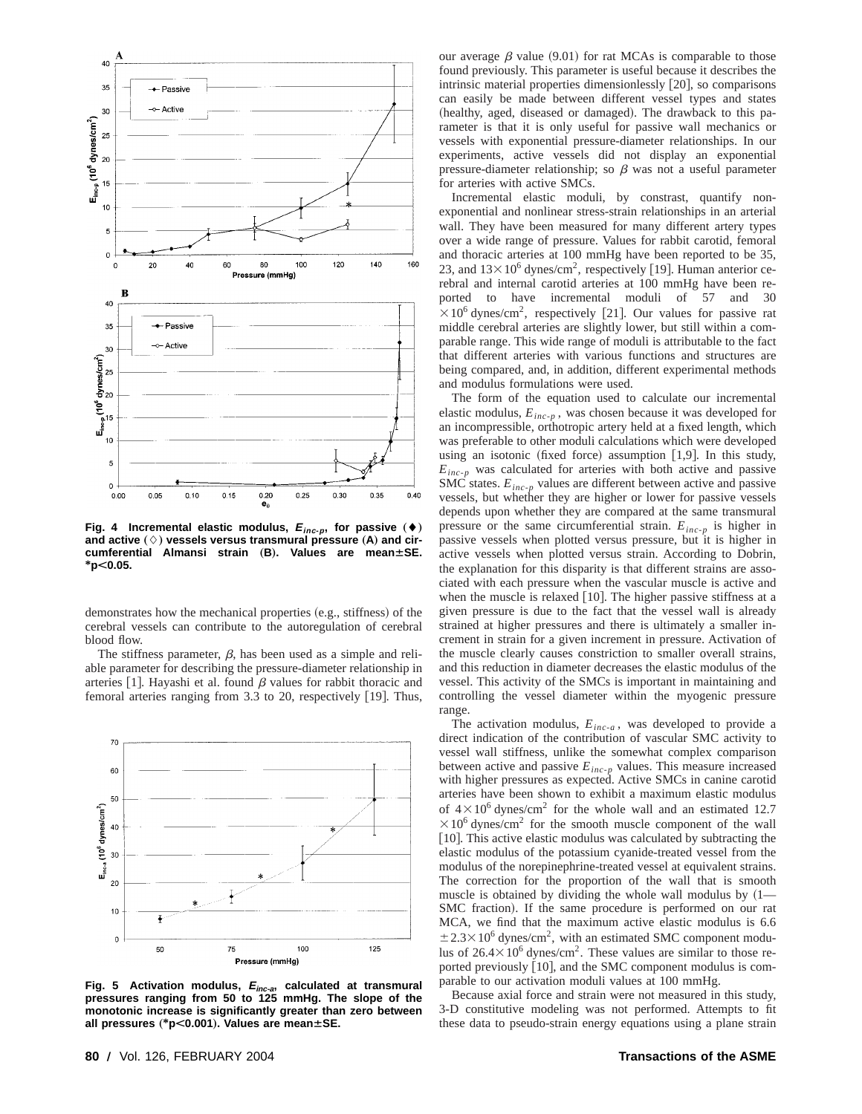

Fig. 4 Incremental elastic modulus,  $E_{inc-p}$ , for passive  $($   $\blacklozenge)$ and active  $(\Diamond)$  vessels versus transmural pressure  $(A)$  and cir*cumferential Almansi strain* (B). Values are mean $\pm$ SE. **\*pË0.05.**

demonstrates how the mechanical properties (e.g., stiffness) of the cerebral vessels can contribute to the autoregulation of cerebral blood flow.

The stiffness parameter,  $\beta$ , has been used as a simple and reliable parameter for describing the pressure-diameter relationship in arteries [1]. Hayashi et al. found  $\beta$  values for rabbit thoracic and femoral arteries ranging from 3.3 to 20, respectively  $[19]$ . Thus,



**Fig. 5 Activation modulus, <sup>E</sup>inc-a, calculated at transmural pressures ranging from 50 to 125 mmHg. The slope of the monotonic increase is significantly greater than zero between all pressures** "**\*pË0.001**…**. Values are meanÁSE.**

our average  $\beta$  value (9.01) for rat MCAs is comparable to those found previously. This parameter is useful because it describes the intrinsic material properties dimensionlessly  $[20]$ , so comparisons can easily be made between different vessel types and states (healthy, aged, diseased or damaged). The drawback to this parameter is that it is only useful for passive wall mechanics or vessels with exponential pressure-diameter relationships. In our experiments, active vessels did not display an exponential pressure-diameter relationship; so  $\beta$  was not a useful parameter for arteries with active SMCs.

Incremental elastic moduli, by constrast, quantify nonexponential and nonlinear stress-strain relationships in an arterial wall. They have been measured for many different artery types over a wide range of pressure. Values for rabbit carotid, femoral and thoracic arteries at 100 mmHg have been reported to be 35, 23, and  $13 \times 10^6$  dynes/cm<sup>2</sup>, respectively [19]. Human anterior cerebral and internal carotid arteries at 100 mmHg have been reported to have incremental moduli of 57 and 30  $\times$ 10<sup>6</sup> dynes/cm<sup>2</sup>, respectively [21]. Our values for passive rat middle cerebral arteries are slightly lower, but still within a comparable range. This wide range of moduli is attributable to the fact that different arteries with various functions and structures are being compared, and, in addition, different experimental methods and modulus formulations were used.

The form of the equation used to calculate our incremental elastic modulus,  $E_{inc-p}$ , was chosen because it was developed for an incompressible, orthotropic artery held at a fixed length, which was preferable to other moduli calculations which were developed using an isotonic (fixed force) assumption  $[1,9]$ . In this study,  $E_{inc-p}$  was calculated for arteries with both active and passive SMC states.  $E_{inc-p}$  values are different between active and passive vessels, but whether they are higher or lower for passive vessels depends upon whether they are compared at the same transmural pressure or the same circumferential strain.  $E_{inc-p}$  is higher in passive vessels when plotted versus pressure, but it is higher in active vessels when plotted versus strain. According to Dobrin, the explanation for this disparity is that different strains are associated with each pressure when the vascular muscle is active and when the muscle is relaxed  $[10]$ . The higher passive stiffness at a given pressure is due to the fact that the vessel wall is already strained at higher pressures and there is ultimately a smaller increment in strain for a given increment in pressure. Activation of the muscle clearly causes constriction to smaller overall strains, and this reduction in diameter decreases the elastic modulus of the vessel. This activity of the SMCs is important in maintaining and controlling the vessel diameter within the myogenic pressure range.

The activation modulus,  $E_{inc-a}$ , was developed to provide a direct indication of the contribution of vascular SMC activity to vessel wall stiffness, unlike the somewhat complex comparison between active and passive  $E_{inc-p}$  values. This measure increased with higher pressures as expected. Active SMCs in canine carotid arteries have been shown to exhibit a maximum elastic modulus of  $4 \times 10^6$  dynes/cm<sup>2</sup> for the whole wall and an estimated 12.7  $\times$ 10<sup>6</sup> dynes/cm<sup>2</sup> for the smooth muscle component of the wall  $[10]$ . This active elastic modulus was calculated by subtracting the elastic modulus of the potassium cyanide-treated vessel from the modulus of the norepinephrine-treated vessel at equivalent strains. The correction for the proportion of the wall that is smooth muscle is obtained by dividing the whole wall modulus by  $(1 -$ SMC fraction). If the same procedure is performed on our rat MCA, we find that the maximum active elastic modulus is 6.6  $\pm$  2.3×10<sup>6</sup> dynes/cm<sup>2</sup>, with an estimated SMC component modulus of  $26.4 \times 10^6$  dynes/cm<sup>2</sup>. These values are similar to those reported previously [10], and the SMC component modulus is comparable to our activation moduli values at 100 mmHg.

Because axial force and strain were not measured in this study, 3-D constitutive modeling was not performed. Attempts to fit these data to pseudo-strain energy equations using a plane strain